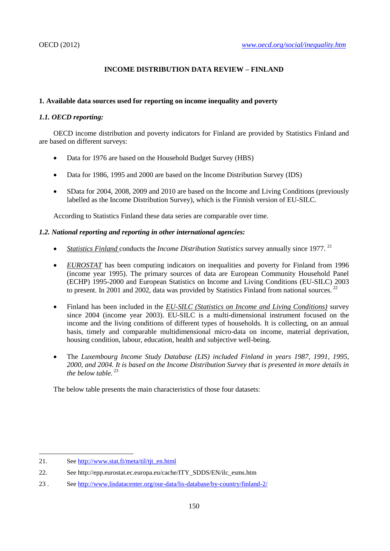# **INCOME DISTRIBUTION DATA REVIEW – FINLAND**

# **1. Available data sources used for reporting on income inequality and poverty**

# *1.1. OECD reporting:*

OECD income distribution and poverty indicators for Finland are provided by Statistics Finland and are based on different surveys:

- Data for 1976 are based on the Household Budget Survey (HBS)
- Data for 1986, 1995 and 2000 are based on the Income Distribution Survey (IDS)
- SData for 2004, 2008, 2009 and 2010 are based on the Income and Living Conditions (previously labelled as the Income Distribution Survey), which is the Finnish version of EU-SILC.

According to Statistics Finland these data series are comparable over time.

# *1.2. National reporting and reporting in other international agencies:*

- *Statistics Finland conducts the Income Distribution Statistics survey annually since 1977.*<sup>21</sup>
- *EUROSTAT* has been computing indicators on inequalities and poverty for Finland from 1996 (income year 1995). The primary sources of data are European Community Household Panel (ECHP) 1995-2000 and European Statistics on Income and Living Conditions (EU-SILC) 2003 to present. In 2001 and 2002, data was provided by Statistics Finland from national sources.<sup>22</sup>
- Finland has been included in the *EU-SILC (Statistics on Income and Living Conditions)* survey since 2004 (income year 2003). EU-SILC is a multi-dimensional instrument focused on the income and the living conditions of different types of households. It is collecting, on an annual basis, timely and comparable multidimensional micro-data on income, material deprivation, housing condition, labour, education, health and subjective well-being.
- The *Luxembourg Income Study Database (LIS) included Finland in years 1987, 1991, 1995, 2000, and 2004. It is based on the Income Distribution Survey that is presented in more details in the below table.* <sup>23</sup>

The below table presents the main characteristics of those four datasets:

<sup>21.</sup> See [http://www.stat.fi/meta/til/tjt\\_en.html](http://www.stat.fi/meta/til/tjt_en.html)

<sup>22.</sup> See http://epp.eurostat.ec.europa.eu/cache/ITY\_SDDS/EN/ilc\_esms.htm

<sup>23 .</sup> See<http://www.lisdatacenter.org/our-data/lis-database/by-country/finland-2/>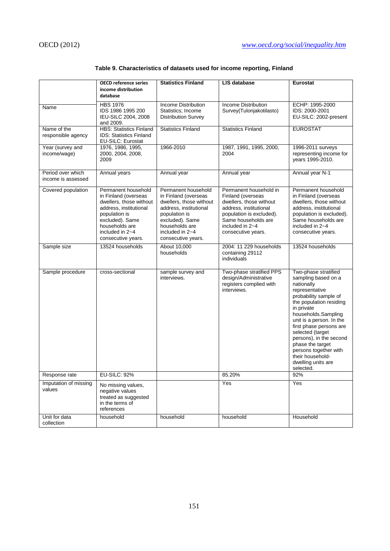|                                   | <b>OECD reference series</b>                                     | <b>Statistics Finland</b>               | LIS database                                       | Eurostat                                            |  |  |
|-----------------------------------|------------------------------------------------------------------|-----------------------------------------|----------------------------------------------------|-----------------------------------------------------|--|--|
|                                   | income distribution                                              |                                         |                                                    |                                                     |  |  |
|                                   | database                                                         |                                         |                                                    |                                                     |  |  |
|                                   | <b>HBS 1976</b>                                                  | <b>Income Distribution</b>              | <b>Income Distribution</b>                         | ECHP: 1995-2000                                     |  |  |
| Name                              | IDS 1986 1995 200                                                | Statistics: Income                      | Survey(Tulonjakotilasto)                           | IDS: 2000-2001                                      |  |  |
|                                   | IEU-SILC 2004, 2008                                              | <b>Distribution Survey</b>              |                                                    | EU-SILC: 2002-present                               |  |  |
|                                   | and 2009.                                                        |                                         |                                                    |                                                     |  |  |
| Name of the<br>responsible agency | <b>HBS: Statistics Finland</b><br><b>IDS: Statistics Finland</b> | <b>Statistics Finland</b>               | <b>Statistics Finland</b>                          | <b>EUROSTAT</b>                                     |  |  |
|                                   | <b>EU-SILC: Eurostat</b>                                         |                                         |                                                    |                                                     |  |  |
| Year (survey and                  | 1976, 1986, 1995,                                                | 1966-2010                               | 1987, 1991, 1995, 2000,                            | 1996-2011 surveys                                   |  |  |
| income/wage)                      | 2000, 2004, 2008,                                                |                                         | 2004                                               | representing income for                             |  |  |
|                                   | 2009                                                             |                                         |                                                    | years 1995-2010.                                    |  |  |
| Period over which                 | Annual years                                                     | Annual year                             | Annual year                                        | Annual year N-1                                     |  |  |
| income is assessed                |                                                                  |                                         |                                                    |                                                     |  |  |
| Covered population                | Permanent household                                              | Permanent household                     | Permanent household in                             | Permanent household                                 |  |  |
|                                   | in Finland (overseas                                             | in Finland (overseas                    | Finland (overseas                                  | in Finland (overseas                                |  |  |
|                                   | dwellers, those without                                          | dwellers, those without                 | dwellers, those without                            | dwellers, those without                             |  |  |
|                                   | address, institutional<br>population is                          | address, institutional<br>population is | address, institutional<br>population is excluded). | address, institutional<br>population is excluded).  |  |  |
|                                   | excluded). Same                                                  | excluded). Same                         | Same households are                                | Same households are                                 |  |  |
|                                   | households are                                                   | households are                          | included in 2~4                                    | included in 2~4                                     |  |  |
|                                   | included in 2~4                                                  | included in 2~4                         | consecutive years.                                 | consecutive years.                                  |  |  |
|                                   | consecutive years.                                               | consecutive years.                      |                                                    |                                                     |  |  |
| Sample size                       | 13524 households                                                 | About 10.000                            | 2004: 11 229 households                            | 13524 households                                    |  |  |
|                                   |                                                                  | households                              | containing 29112<br>individuals                    |                                                     |  |  |
|                                   |                                                                  |                                         |                                                    |                                                     |  |  |
| Sample procedure                  | cross-sectional                                                  | sample survey and                       | Two-phase stratified PPS                           | Two-phase stratified                                |  |  |
|                                   |                                                                  | interviews.                             | design/Administrative                              | sampling based on a                                 |  |  |
|                                   |                                                                  |                                         | registers complied with<br>interviews.             | nationally<br>representative                        |  |  |
|                                   |                                                                  |                                         |                                                    | probability sample of                               |  |  |
|                                   |                                                                  |                                         |                                                    | the population residing                             |  |  |
|                                   |                                                                  |                                         |                                                    | in private                                          |  |  |
|                                   |                                                                  |                                         |                                                    | households.Sampling                                 |  |  |
|                                   |                                                                  |                                         |                                                    | unit is a person. In the<br>first phase persons are |  |  |
|                                   |                                                                  |                                         |                                                    | selected (target                                    |  |  |
|                                   |                                                                  |                                         |                                                    | persons), in the second                             |  |  |
|                                   |                                                                  |                                         |                                                    | phase the target                                    |  |  |
|                                   |                                                                  |                                         |                                                    | persons together with                               |  |  |
|                                   |                                                                  |                                         |                                                    | their household-                                    |  |  |
|                                   |                                                                  |                                         |                                                    | dwelling units are<br>selected.                     |  |  |
| Response rate                     | <b>EU-SILC: 92%</b>                                              |                                         | 85.20%                                             | 92%                                                 |  |  |
| Imputation of missing             | No missing values,                                               |                                         | Yes                                                | Yes                                                 |  |  |
| values                            | negative values                                                  |                                         |                                                    |                                                     |  |  |
|                                   | treated as suggested<br>in the terms of                          |                                         |                                                    |                                                     |  |  |
|                                   | references                                                       |                                         |                                                    |                                                     |  |  |
| Unit for data                     | household                                                        | household                               | household                                          | Household                                           |  |  |
| collection                        |                                                                  |                                         |                                                    |                                                     |  |  |

# **Table 9. Characteristics of datasets used for income reporting, Finland**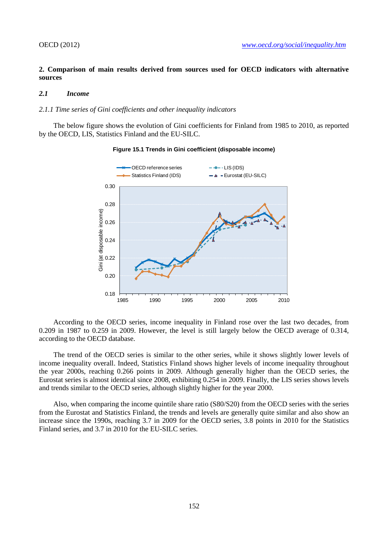## **2. Comparison of main results derived from sources used for OECD indicators with alternative sources**

### *2.1 Income*

#### *2.1.1 Time series of Gini coefficients and other inequality indicators*

The below figure shows the evolution of Gini coefficients for Finland from 1985 to 2010, as reported by the OECD, LIS, Statistics Finland and the EU-SILC.



#### **Figure 15.1 Trends in Gini coefficient (disposable income)**

According to the OECD series, income inequality in Finland rose over the last two decades, from 0.209 in 1987 to 0.259 in 2009. However, the level is still largely below the OECD average of 0.314, according to the OECD database.

The trend of the OECD series is similar to the other series, while it shows slightly lower levels of income inequality overall. Indeed, Statistics Finland shows higher levels of income inequality throughout the year 2000s, reaching 0.266 points in 2009. Although generally higher than the OECD series, the Eurostat series is almost identical since 2008, exhibiting 0.254 in 2009. Finally, the LIS series shows levels and trends similar to the OECD series, although slightly higher for the year 2000.

Also, when comparing the income quintile share ratio (S80/S20) from the OECD series with the series from the Eurostat and Statistics Finland, the trends and levels are generally quite similar and also show an increase since the 1990s, reaching 3.7 in 2009 for the OECD series, 3.8 points in 2010 for the Statistics Finland series, and 3.7 in 2010 for the EU-SILC series.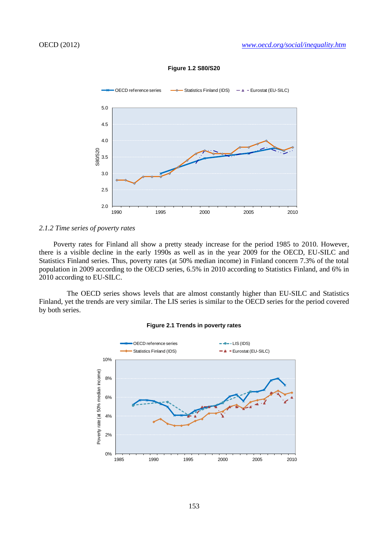

#### **Figure 1.2 S80/S20**

## *2.1.2 Time series of poverty rates*

Poverty rates for Finland all show a pretty steady increase for the period 1985 to 2010. However, there is a visible decline in the early 1990s as well as in the year 2009 for the OECD, EU-SILC and Statistics Finland series. Thus, poverty rates (at 50% median income) in Finland concern 7.3% of the total population in 2009 according to the OECD series, 6.5% in 2010 according to Statistics Finland, and 6% in 2010 according to EU-SILC.

The OECD series shows levels that are almost constantly higher than EU-SILC and Statistics Finland, yet the trends are very similar. The LIS series is similar to the OECD series for the period covered by both series.



#### **Figure 2.1 Trends in poverty rates**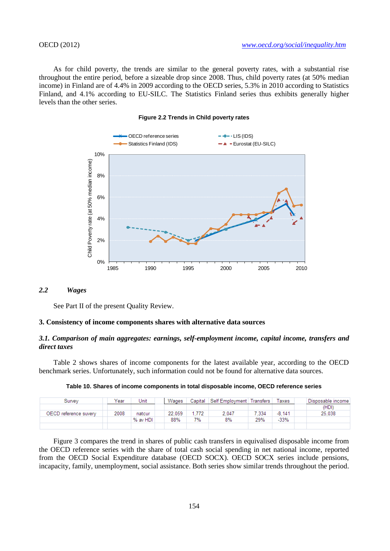As for child poverty, the trends are similar to the general poverty rates, with a substantial rise throughout the entire period, before a sizeable drop since 2008. Thus, child poverty rates (at 50% median income) in Finland are of 4.4% in 2009 according to the OECD series, 5.3% in 2010 according to Statistics Finland, and 4.1% according to EU-SILC. The Statistics Finland series thus exhibits generally higher levels than the other series.





# *2.2 Wages*

See Part II of the present Quality Review.

#### **3. Consistency of income components shares with alternative data sources**

### *3.1. Comparison of main aggregates: earnings, self-employment income, capital income, transfers and direct taxes*

Table 2 shows shares of income components for the latest available year, according to the OECD benchmark series. Unfortunately, such information could not be found for alternative data sources.

|--|

| Survev                | Year | Unit     | Wages  | Capital | Self Employment   Transfers |       | axes   | Disposable income |
|-----------------------|------|----------|--------|---------|-----------------------------|-------|--------|-------------------|
|                       |      |          |        |         |                             |       |        | (HDI)             |
| OECD reference suvery | 2008 | natcur   | 22.059 | .772    | 2.047                       | 7.334 | -8.141 | 25.038            |
|                       |      | % av HDI | 88%    | 7%      | 8%                          | 29%   | $-33%$ |                   |
|                       |      |          |        |         |                             |       |        |                   |

Figure 3 compares the trend in shares of public cash transfers in equivalised disposable income from the OECD reference series with the share of total cash social spending in net national income, reported from the OECD Social Expenditure database (OECD SOCX). OECD SOCX series include pensions, incapacity, family, unemployment, social assistance. Both series show similar trends throughout the period.